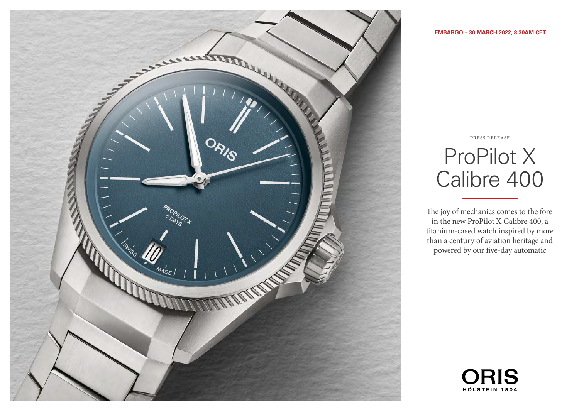

ProPilot X Calibre 400

press release

The joy of mechanics comes to the fore in the new ProPilot X Calibre 400, a titanium-cased watch inspired by more than a century of aviation heritage and powered by our five-day automatic

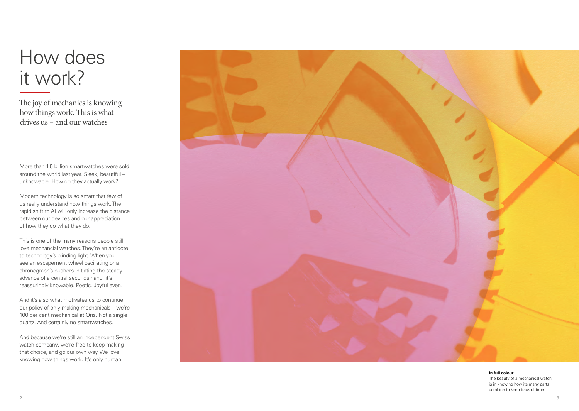# How does it work?

The joy of mechanics is knowing how things work. This is what drives us – and our watches

More than 1.5 billion smartwatches were sold around the world last year. Sleek, beautiful – unknowable. How do they actually work?

Modern technology is so smart that few of us really understand how things work. The rapid shift to AI will only increase the distance between our devices and our appreciation of how they do what they do.

This is one of the many reasons people still love mechancial watches. They're an antidote to technology's blinding light. When you see an escapement wheel oscillating or a chronograph's pushers initiating the steady advance of a central seconds hand, it's reassuringly knowable. Poetic. Joyful even.

And it's also what motivates us to continue our policy of only making mechanicals – we're 100 per cent mechanical at Oris. Not a single quartz. And certainly no smartwatches.

And because we're still an independent Swiss watch company, we're free to keep making that choice, and go our own way. We love knowing how things work. It's only human.



**In full colour** The beauty of a mechanical watch is in knowing how its many parts combine to keep track of time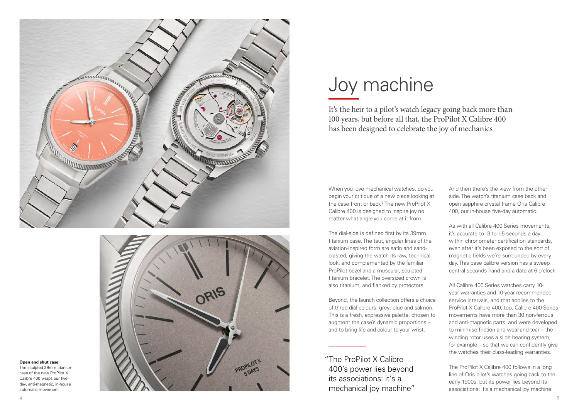



# **Open and shut case**

The sculpted 39mm titanium case of the new ProPilot X Calibre 400 wraps our fiveday, anti-magnetic, in-house automatic movement

# Joy machine

It's the heir to a pilot's watch legacy going back more than 100 years, but before all that, the ProPilot X Calibre 400 has been designed to celebrate the joy of mechanics

When you love mechanical watches, do you begin your critique of a new piece looking at the case front or back? The new ProPilot X Calibre 400 is designed to inspire joy no matter what angle you come at it from.

The dial-side is defined first by its 39mm titanium case. The taut, angular lines of the aviation-inspired form are satin and sandblasted, giving the watch its raw, technical look, and complemented by the familiar ProPilot bezel and a muscular, sculpted titanium bracelet. The oversized crown is also titanium, and flanked by protectors.

Beyond, the launch collection offers a choice of three dial colours: grey, blue and salmon. This is a fresh, expressive palette, chosen to augment the case's dynamic proportions – and to bring life and colour to your wrist.

 "The ProPilot X Calibre 400's power lies beyond its associations: it's a mechanical joy machine"

And then there's the view from the other side. The watch's titanium case back and open sapphire crystal frame Oris Calibre 400, our in-house five-day automatic.

As with all Calibre 400 Series movements, it's accurate to -3 to +5 seconds a day, within chronometer certification standards even after it's been exposed to the sort of magnetic fields we're surrounded by every day. This base calibre version has a sweep central seconds hand and a date at 6 o'clock.

All Calibre 400 Series watches carry 10 year warranties and 10-year recommended service intervals, and that applies to the ProPilot X Calibre 400, too. Calibre 400 Series movements have more than 30 non-ferrous and anti-magnetic parts, and were developed to minimise friction and wear-and-tear – the winding rotor uses a slide bearing system, for example – so that we can confidently give the watches their class-leading warranties.

The ProPilot X Calibre 400 follows in a long line of Oris pilot's watches going back to the early 1900s, but its power lies beyond its associations: it's a mechanical joy machine.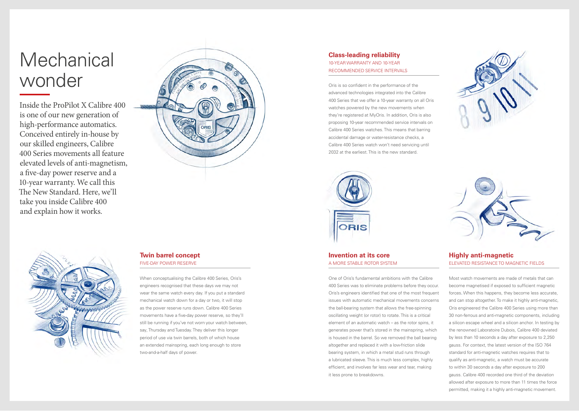# Mechanical wonder

Inside the ProPilot X Calibre 400 is one of our new generation of high-performance automatics. Conceived entirely in-house by our skilled engineers, Calibre 400 Series movements all feature elevated levels of anti-magnetism, a five-day power reserve and a 10-year warranty. We call this The New Standard. Here, we'll take you inside Calibre 400 and explain how it works.



# **Class-leading reliability** 10-YEAR WARRANTY AND 10-YEAR RECOMMENDED SERVICE INTERVALS

Oris is so confident in the performance of the advanced technologies integrated into the Calibre 400 Series that we offer a 10-year warranty on all Oris watches powered by the new movements when they're registered at MyOris. In addition, Oris is also proposing 10-year recommended service intervals on Calibre 400 Series watches. This means that barring accidental damage or water-resistance checks, a Calibre 400 Series watch won't need servicing until 2032 at the earliest. This is the new standard.





## **Invention at its core** A MORE STABLE ROTOR SYSTEM

One of Oris's fundamental ambitions with the Calibre 400 Series was to eliminate problems before they occur. Oris's engineers identified that one of the most frequent issues with automatic mechanical movements concerns the ball-bearing system that allows the free-spinning oscillating weight (or rotor) to rotate. This is a critical element of an automatic watch – as the rotor spins, it generates power that's stored in the mainspring, which is housed in the barrel. So we removed the ball bearing altogether and replaced it with a low-friction slide bearing system, in which a metal stud runs through a lubricated sleeve. This is much less complex, highly efficient, and involves far less wear and tear, making it less prone to breakdowns.



# **Highly anti-magnetic** ELEVATED RESISTANCE TO MAGNETIC FIELDS

Most watch movements are made of metals that can become magnetised if exposed to sufficient magnetic forces. When this happens, they become less accurate, and can stop altogether. To make it highly anti-magnetic, Oris engineered the Calibre 400 Series using more than 30 non-ferrous and anti-magnetic components, including a silicon escape wheel and a silicon anchor. In testing by the renowned Laboratoire Dubois, Calibre 400 deviated by less than 10 seconds a day after exposure to 2,250 gauss. For context, the latest version of the ISO 764 standard for anti-magnetic watches requires that to qualify as anti-magnetic, a watch must be accurate to within 30 seconds a day after exposure to 200 gauss. Calibre 400 recorded one third of the deviation allowed after exposure to more than 11 times the force permitted, making it a highly anti-magnetic movement.



# **Twin barrel concept** FIVE-DAY POWER RESERVE

When conceptualising the Calibre 400 Series, Oris's engineers recognised that these days we may not wear the same watch every day. If you put a standard mechanical watch down for a day or two, it will stop as the power reserve runs down. Calibre 400 Series movements have a five-day power reserve, so they'll still be running if you've not worn your watch between, say, Thursday and Tuesday. They deliver this longer period of use via twin barrels, both of which house an extended mainspring, each long enough to store two-and-a-half days of power.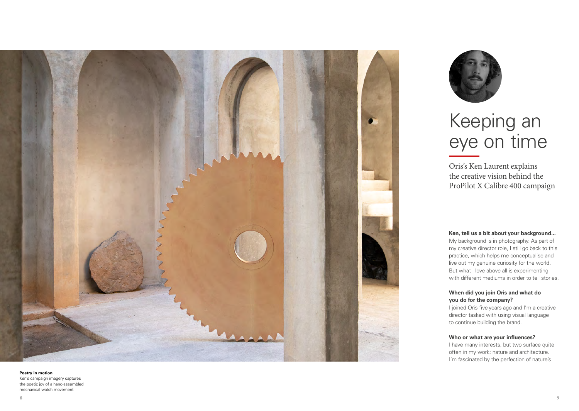

#### **Poetry in motion**

Ken's campaign imagery captures the poetic joy of a hand-assembled mechanical watch movement



# Keeping an eye on time

Oris's Ken Laurent explains the creative vision behind the ProPilot X Calibre 400 campaign

### **Ken, tell us a bit about your background...**

My background is in photography. As part of my creative director role, I still go back to this practice, which helps me conceptualise and live out my genuine curiosity for the world. But what I love above all is experimenting with different mediums in order to tell stories.

## **When did you join Oris and what do you do for the company?**

I joined Oris five years ago and I'm a creative director tasked with using visual language to continue building the brand.

### **Who or what are your influences?**

I have many interests, but two surface quite often in my work: nature and architecture. I'm fascinated by the perfection of nature's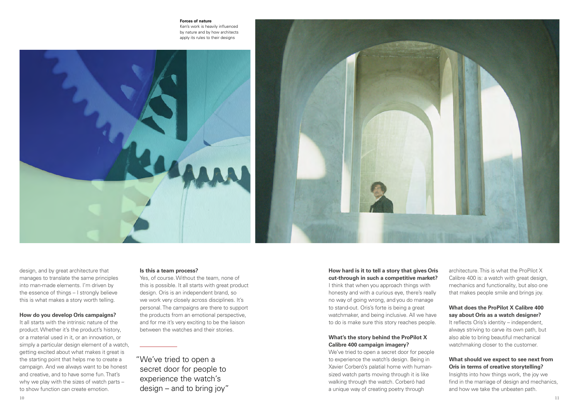#### **Forces of nature**

Ken's work is heavily influenced by nature and by how architects apply its rules to their designs





design, and by great architecture that manages to translate the same principles into man-made elements. I'm driven by the essence of things – I strongly believe this is what makes a story worth telling.

### **How do you develop Oris campaigns?**

It all starts with the intrinsic nature of the product. Whether it's the product's history, or a material used in it, or an innovation, or simply a particular design element of a watch, getting excited about what makes it great is the starting point that helps me to create a campaign. And we always want to be honest and creative, and to have some fun. That's why we play with the sizes of watch parts – to show function can create emotion.

#### **Is this a team process?**

Yes, of course. Without the team, none of this is possible. It all starts with great product design. Oris is an independent brand, so we work very closely across disciplines. It's personal. The campaigns are there to support the products from an emotional perspective, and for me it's very exciting to be the liaison between the watches and their stories.

 "We've tried to open a secret door for people to experience the watch's design – and to bring joy"

## **How hard is it to tell a story that gives Oris cut-through in such a competitive market?**

I think that when you approach things with honesty and with a curious eye, there's really no way of going wrong, and you do manage to stand-out. Oris's forte is being a great watchmaker, and being inclusive. All we have to do is make sure this story reaches people.

## **What's the story behind the ProPilot X Calibre 400 campaign imagery?**

We've tried to open a secret door for people to experience the watch's design. Being in Xavier Corberó's palatial home with humansized watch parts moving through it is like walking through the watch. Corberó had a unique way of creating poetry through

architecture. This is what the ProPilot X Calibre 400 is: a watch with great design. mechanics and functionality, but also one that makes people smile and brings joy.

## **What does the ProPilot X Calibre 400 say about Oris as a watch designer?**

It reflects Oris's identity – independent, always striving to carve its own path, but also able to bring beautiful mechanical watchmaking closer to the customer.

# **What should we expect to see next from Oris in terms of creative storytelling?**

Insights into how things work, the joy we find in the marriage of design and mechanics, and how we take the unbeaten path.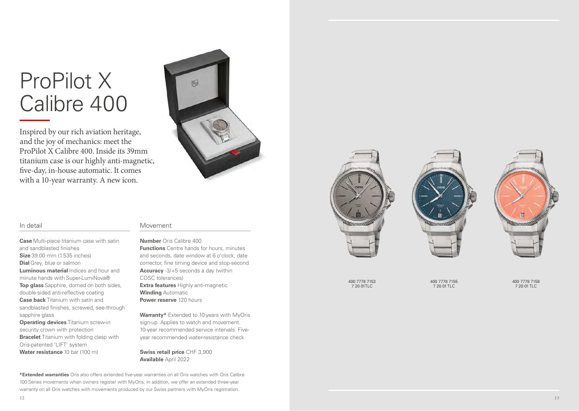# ProPilot X Calibre 400

Inspired by our rich aviation heritage, and the joy of mechanics: meet the ProPilot X Calibre 400. Inside its 39mm titanium case is our highly anti-magnetic, five-day, in-house automatic. It comes with a 10-year warranty. A new icon.



### In detail

**Case** Multi-piece titanium case with satin and sandblasted finishes **Size** 39.00 mm (1.535 inches) **Dial** Grey, blue or salmon **Luminous material** Indices and hour and minute hands with Super-LumiNova® **Top glass** Sapphire, domed on both sides, double-sided anti-reflective coating **Case back** Titanium with satin and sandblasted finishes, screwed, see-through sapphire glass

**Operating devices** Titanium screw-in security crown with protection **Bracelet** Titanium with folding clasp with Oris-patented 'LIFT' system **Water resistance** 10 bar (100 m)

## Movement

## **Number** Oris Calibre 400

**Functions** Centre hands for hours, minutes and seconds, date window at 6 o'clock, date corrector, fine timing device and stop-second **Accuracy** -3/+5 seconds a day (within COSC tolerances) **Extra features** Highly anti-magnetic **Winding** Automatic **Power reserve** 120 hours

**Warranty\*** Extended to 10 years with MyOris sign-up. Applies to watch and movement. 10-year recommended service intervals. Fiveyear recommended water-resistance check

**Swiss retail price** CHF 3,900 **Available** April 2022

**\*Extended warranties** Oris also offers extended five-year warranties on all Oris watches with Oris Calibre 100 Series movements when owners register with MyOris. In addition, we offer an extended three-year warranty on all Oris watches with movements produced by our Swiss partners with MyOris registration.



400 7778 7153 7 20 01TLC

400 7778 7155 7 20 01 TLC

400 7778 7158 7 20 01 TLC